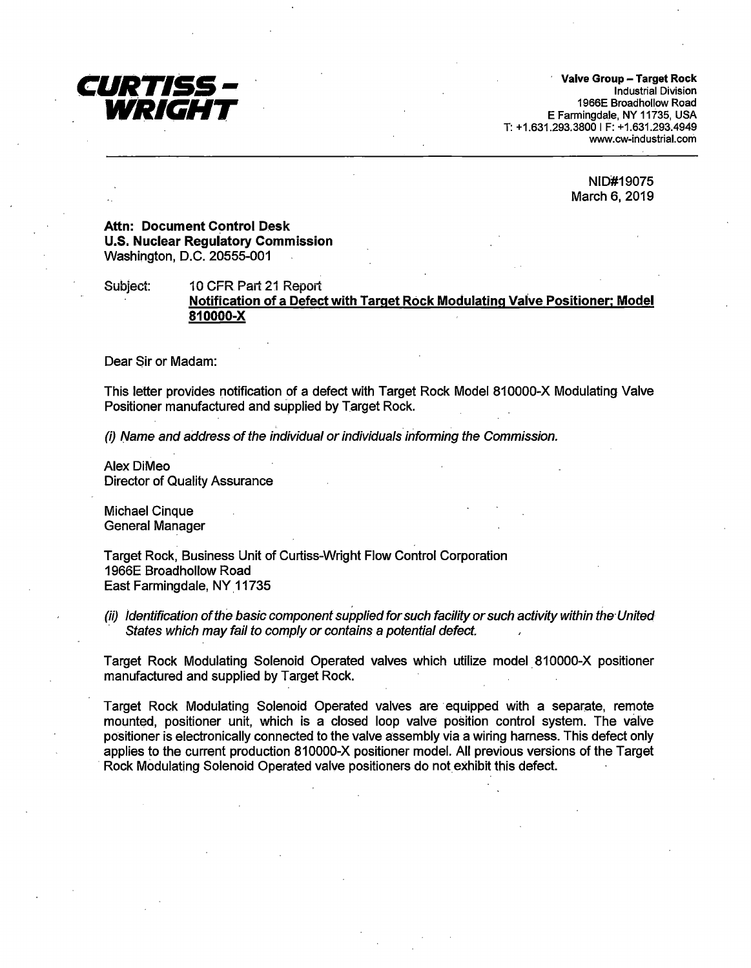

· **Valve Group** - **Target Rock**  Industrial Division 1966E Broadhollow Road E Farmingdale, NY 11735, USA T: +1.631.293.3800 IF: +1.631.293.4949 www.cw-industrial.com

> NID#19075 March 6, 2019

# **Attn: Document Control Desk U.S. Nuclear Regulatory Commission**  Washington, D.C. 20555-001

Subject: 10 CFR Part 21 Report **Notification of a Defect with Target Rock Modulating Valve Positioner; Model 810000-X** 

Dear Sir or Madam:

This letter provides notification of a defect with Target Rock Model 810000-X Modulating Valve Positioner manufactured and supplied by Target Rock.

 $(i)$  Name and address of the individual or individuals informing the Commission.

**Alex DiMeo** Director of Quality Assurance

Michael Cinque General Manager

Target Rock, Business Unit of Curtiss-Wright Flow Control Corporation 1966E Broadhollow Road East Farmingdale, NY 11735

(ii) Identification of the basic component supplied for such facility or such activity within the· United States which may fail to comply or contains a potential defect.

Target Rock Modulating Solenoid Operated valves which utilize model. 810000-X positioner manufactured and supplied by Target Rock.

Target Rock Modulating Solenoid Operated valves are equipped with a separate, remote mounted, positioner unit, which is a closed loop valve position control system. The valve positioner is electronically connected to the valve assembly via a wiring harness. This defect only applies to the current production 810000-X positioner model. All previous versions of the Target Rock Modulating Solenoid Operated valve positioners do not exhibit this defect.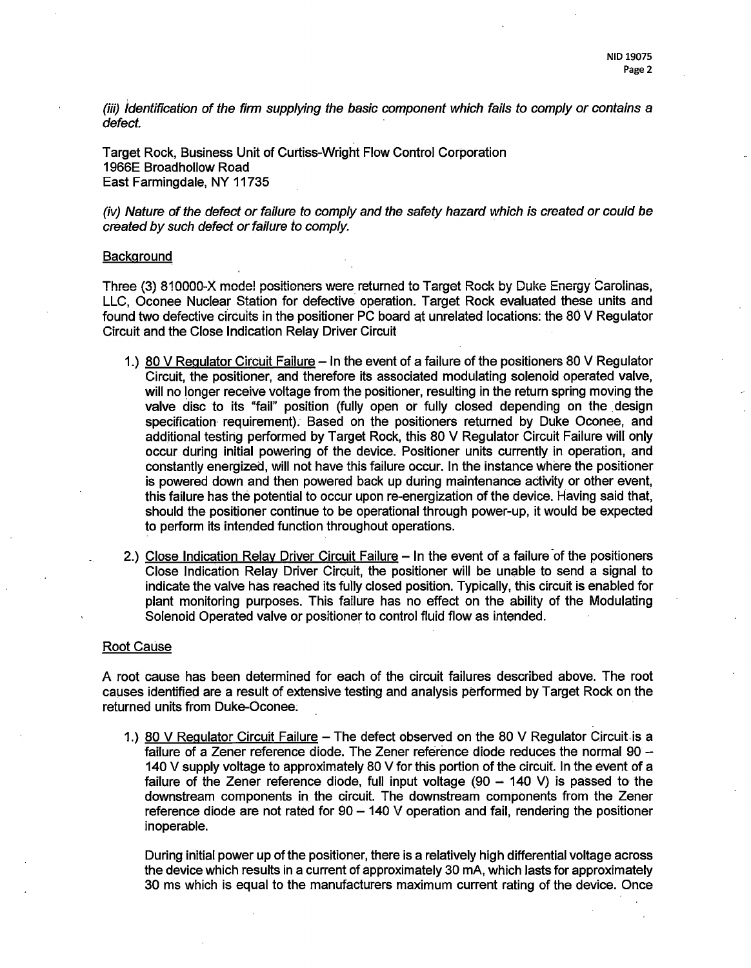(iii) Identification of the firm supplying the basic component which fails to comply or contains a defect.

Target Rock, Business Unit of Curtiss-Wright Flow Control Corporation 1966E Broadhollow Road East Farmingdale, NY 11735

(iv) Nature of the defect or failure to comply and the safety hazard which is created or could be created by such defect or failure to comply.

### **Background**

Three (3) 810000-X mode! positioners were returned to Target Rock by Duke Energy Carolinas, LLC, Oconee Nuclear Station for defective operation. Target Rock evaluated these units and found two defective circuits in the positioner PC board at unrelated locations: the 80 V Regulator Circuit and the Close Indication Relay Driver Circuit

- 1.) 80 V Regulator Circuit Failure In the event of a failure of the positioners 80 V Regulator Circuit, the positioner, and therefore its associated modulating solenoid operated valve, will no longer receive voltage from the positioner, resulting in the return spring moving the valve disc to its "fail" position (fully open or fully closed depending on the design specification requirement). Based on the positioners returned by Duke Oconee, and additional testing performed by Target Rock, this 80 V Regulator Circuit Failure will only occur during initial powering of the device. Positioner units currently in operation, and constantly energized, will not have this failure occur. In the instance where the positioner is powered down and then powered back up during maintenance activity or other event, this failure has the potential to occur upon re-energization of the device. Having said that, should the positjoner continue to be operational through power-up, it would be expected to perform its intended function throughout operations.
- 2.) Close Indication Relay Driver Circuit Failure In the event of a failure of the positioners Close Indication Relay Driver Circuit, the positioner will be unable to send a signal to indicate the valve has reached its fully closed position. Typically, this circuit is enabled for plant monitoring purposes. This failure has no effect on the ability of the Modulating Solenoid Operated valve or positioner to control fluid flow as intended.

#### Root Cause

A root cause has been determined for each of the circuit failures described above. The root causes identified are a result of extensive testing and analysis performed by Target Rock on the returned units from Duke-Oconee;

1.) 80 V Regulator Circuit Failure - The defect observed on the 80 V Regulator Circuit is a failure of a Zener reference diode. The Zener reference diode reduces the normal 90 -140 V supply voltage to approximately 80 V for this portion of the circuit. In the event of a failure of the Zener reference diode, full input voltage  $(90 - 140 V)$  is passed to the downstream components in the circuit. The downstream components from the Zener reference diode are not rated for  $90 - 140$  V operation and fail, rendering the positioner inoperable.

During initial power up of the positioner, there is a relatively high differential voltage across the device which results in a current of approximately 30 mA, which lasts for approximately 30 ms which is equal to the manufacturers maximum current rating of the device. Once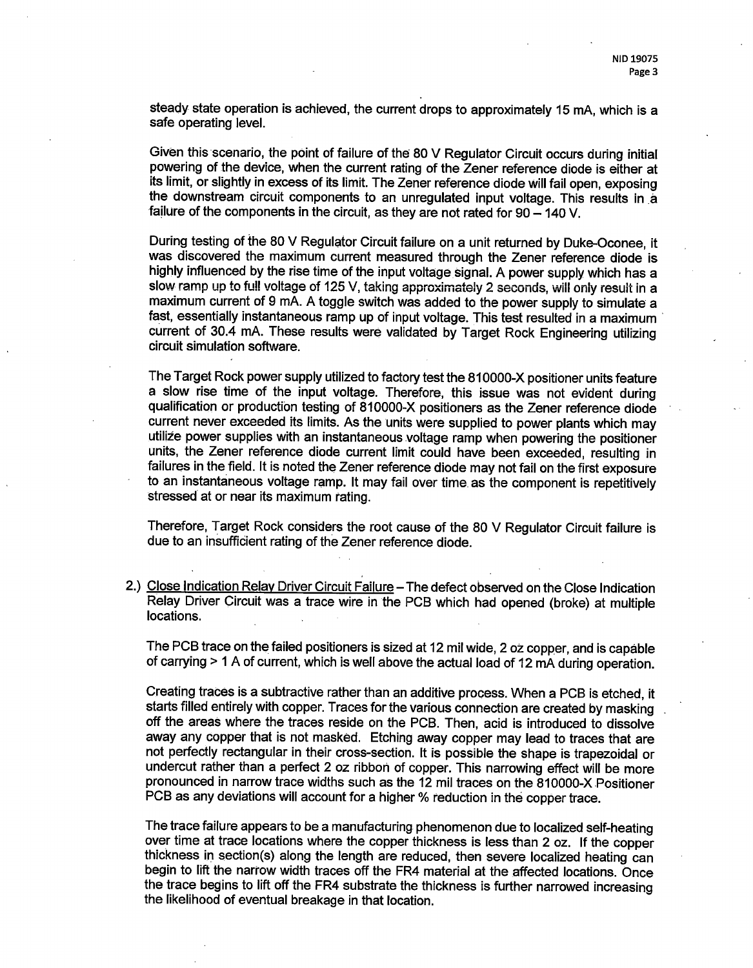steady state operation is achieved, the current drops to approximately 15 mA, which is a safe operating level.

Given this scenario, the point of failure of the 80 V Regulator Circuit occurs during initial powering of the device, when the current rating of the Zener reference diode is either at its limit, or slightly in excess of its limit. The Zener reference diode will fail open, exposing the downstream circuit components to an unregulated input voltage. This results in <sup>a</sup> failure of the components in the circuit, as they are not rated for  $90 - 140$  V.

During testing of the 80 V Regulator Circuit failure on a unit returned by Duke-Oconee, it was discovered the maximum current measured through the Zener reference diode is highly influenced by the rise time of the input voltage signal. A power supply which has a slow ramp up to full voltage of 125 V, taking approximately 2 seconds, will only result in a maximum current of 9 mA. A toggle switch was added to the power supply to simulate a fast, essentially instantaneous ramp up of input voltage. This test resulted in a maximum · current of 30.4 mA. These results were validated by Target Rock Engineering utilizing circuit simulation software.

The Target Rock power supply utilized to factory test the 810000-X positioner units feature a slow rise time of the input voltage. Therefore, this issue was not evident during qualification or production testing of 810000-X positioners as the Zener reference diode current never exceeded its limits. As the units were supplied to power plants which may utilize power supplies with an instantaneous voltage ramp when powering the positioner units, the Zener reference diode current limit could have been exceeded, resulting in failures in the field. It is noted the Zener reference diode may not fail on the first exposure to an instantaneous voltage ramp. It may fail over time as the component is repetitively stressed at or near its maximum rating.

Therefore, Target Rock considers the root cause of the 80 V Regulator Circuit failure is due to an insufficient rating of the Zener reference diode.

2.) Close Indication Relay Driver Circuit Failure - The defect observed on the Close Indication Relay Driver Circuit was a trace wire in the PCB which had opened (broke) at multiple locations.

The PCB trace on the failed positioners is sized at 12 mil wide, 2 oz copper, and is capable of carrying > 1 A of current, which is well above the actual load of 12 mA during operation.

Creating traces is a subtractive rather than an additive process. When a PCB is etched, it starts filled entirely with copper. Traces for the various connection are created by masking off the areas where the traces reside on the PCB. Then, acid is introduced to dissolve away any copper that is not masked. Etching away copper may lead to traces that are not perfectly rectangular in their cross-section. It is possible the shape is trapezoidal or undercut rather than a perfect 2 oz ribbon of copper. This narrowing effect will be more pronounced in narrow trace widths such as the 12 mil traces on the 810000-X Positioner PCB as any deviations will account for a higher % reduction in the copper trace.

The trace failure appears to be a manufacturing phenomenon due to localized self-heating over time at trace locations where the copper thickness is less than 2 oz. If the copper thickness in section(s) along the length are reduced, then severe localized heating can begin to lift the narrow width traces off the FR4 material at the affected locations. Once the trace begins to lift off the FR4 substrate the thickness is further narrowed increasing the likelihood of eventual breakage in that location.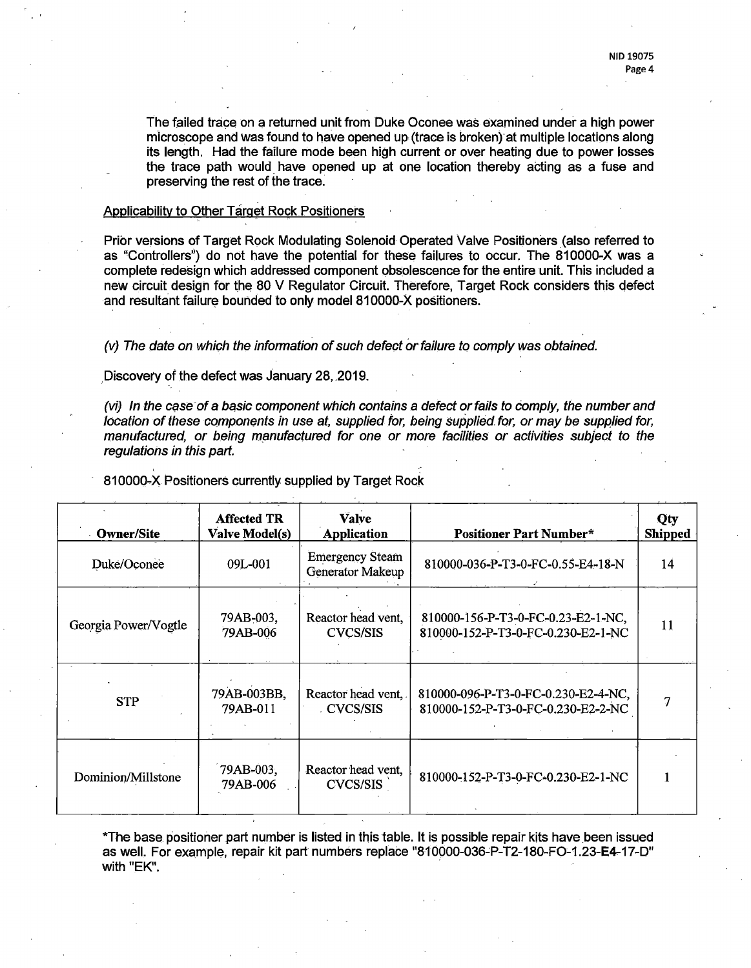The failed trace on a returned unit from Duke Oconee was examined under a high power microscope and was found to have opened up, (trace is broken)-at multiple locations along its length. Had the failure mode been high current or over heating due to power losses the trace path would have opened up at one location thereby acting as a fuse and preserving the rest of the trace:

### Applicability to Other Target Rock Positioners

Prior versions of Target Rock Modulating Solenoid Operated Valve Positioners (also referred to as "Controllers';) do not have the potential for these failures to occur. The 810000-X was a complete redesign which addressed component obsolescence for the entire unit. This included a new circuit design for the 80 V Regulator Circuit. Therefore, Target Rock considers this defect and resultant failure bounded to only model 810000-X positioners.

(v) The date on which the information of such defect or failure to comply was obtained.

Discovery of the defect was January 28, 2019.

(vi) In the case of a basic component which contains a defect or fails to comply, the number and location of these components in use at, supplied for, being supplied. for, or may be supplied for, manufactured, or being manufactured for one or more facilities or activities subject to the regulations in this part.

| <b>Owner/Site</b>    | <b>Affected TR</b><br><b>Valve Model(s)</b> | <b>Valve</b><br>Application                | <b>Positioner Part Number*</b>                                            | Qty<br><b>Shipped</b> |
|----------------------|---------------------------------------------|--------------------------------------------|---------------------------------------------------------------------------|-----------------------|
| Duke/Oconee          | 09L-001                                     | <b>Emergency Steam</b><br>Generator Makeup | 810000-036-P-T3-0-FC-0.55-E4-18-N                                         | 14                    |
| Georgia Power/Vogtle | 79AB-003,<br>79AB-006                       | Reactor head vent,<br><b>CVCS/SIS</b>      | 810000-156-P-T3-0-FC-0.23-E2-1-NC,<br>810000-152-P-T3-0-FC-0.230-E2-1-NC  | 11                    |
| <b>STP</b>           | 79AB-003BB,<br>79AB-011                     | Reactor head vent,<br>CVCS/SIS             | 810000-096-P-T3-0-FC-0.230-E2-4-NC,<br>810000-152-P-T3-0-FC-0.230-E2-2-NC |                       |
| Dominion/Millstone   | 79AB-003,<br>79AB-006                       | Reactor head vent,<br><b>CVCS/SIS</b>      | 810000-152-P-T3-0-FC-0.230-E2-1-NC                                        |                       |

810000-X Positioners currently supplied by Target Rock

\*The base positioner part number is listed in this table. It is possible repair kits have been issued as well. For example, repair kit part numbers replace "810000-036-P-T2-180-FO-1.23-E4-17-D" with "EK".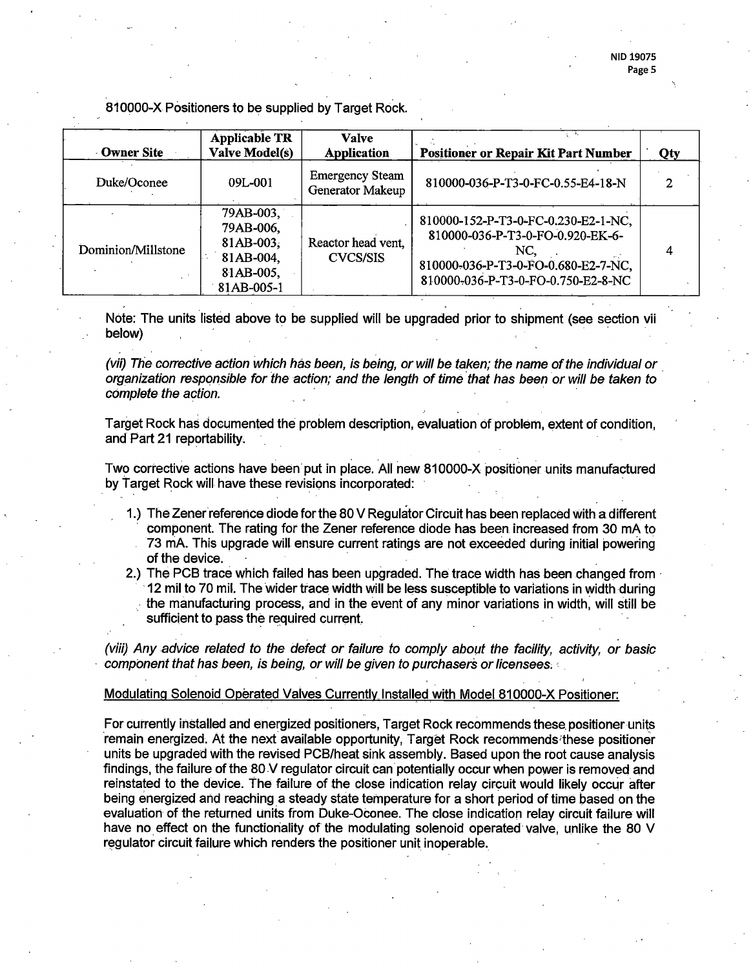## 810000-X Positioners to be supplied by Target Rock.

| <b>Owner Site</b>  | <b>Applicable TR</b><br><b>Valve Model(s)</b>                                  | <b>Valve</b><br>Application                | <b>Positioner or Repair Kit Part Number</b>                                                                                                                 | Qty |
|--------------------|--------------------------------------------------------------------------------|--------------------------------------------|-------------------------------------------------------------------------------------------------------------------------------------------------------------|-----|
| Duke/Oconee        | 09L-001                                                                        | <b>Emergency Steam</b><br>Generator Makeup | 810000-036-P-T3-0-FC-0.55-E4-18-N                                                                                                                           |     |
| Dominion/Millstone | 79AB-003,<br>79AB-006,<br>$81AB-003$ ,<br>81AB-004,<br>81AB-005,<br>81AB-005-1 | Reactor head vent,<br>CVCS/SIS             | 810000-152-P-T3-0-FC-0.230-E2-1-NC,<br>810000-036-P-T3-0-FO-0.920-EK-6-<br>NC.<br>810000-036-P-T3-0-FO-0.680-E2-7-NC,<br>810000-036-P-T3-0-FO-0.750-E2-8-NC |     |

Note: The units listed above to be supplied will be upgraded prior to shipment (see section vii below) , · · ·

(vii) The corrective action which has been, is being, or will be taken; the name of the individual or . organization responsible for the action; and the length of time that has been or will be taken to complete the action.

Target Rock has documented the problem description, evaluation of problem, extent of condition, and Part 21 reportability.

Two corrective actions have been put in place. All new 810000-X positioner units manufactured by Target Rock will have these revisions incorporated:

- 1.) The Zener'reference diode for the 80 V Regulator Circuit has been replaced with a different component. The rating for the Zener reference diode has been. increased from 30 mA to 73 mA. This upgrade will ensure current ratings are not exceeded during initial powering of the device. .
- 2.) The PCB trace which failed has been upgraded. The trace width has been changed from  $\cdot$ · 12 mil to 70 mil. The wider trace width will be less susceptible to variations in width during . the manufacturing process, and in the event of any minor variations in width: will still be sufficient to pass the required current.

(viii) Any advice related to the defect or failure to comply about the facility, activity, or basic component that has been, is being, or will be given to purchasers or licensees;

Modulating Solenoid Operated Valves Currently Installed with Model 810000-X Positioner:

For currently installed and energized positioners, Target Rock recommends these positioner units remain energized. At the next available opportunity, Target Rock recommends these positioner units be upgraded with the revised PCB/heat sink assembly. Based upon the root cause analysis findings, the failure of the 80 V regulator circuit can potentially occur when power is removed and reinstated to the device. The failure of the close indication relay circuit would likely occur after being energized and reaching a steady state temperature for a short period of time based on the evaluation of the returned units from Duke-Oconee. The close indication relay circuit failure will have no effect oh the functionality of the modulating solenoid operated valve, unlike the 80 V regulator circuit failure which renders the positioner unit inoperable.